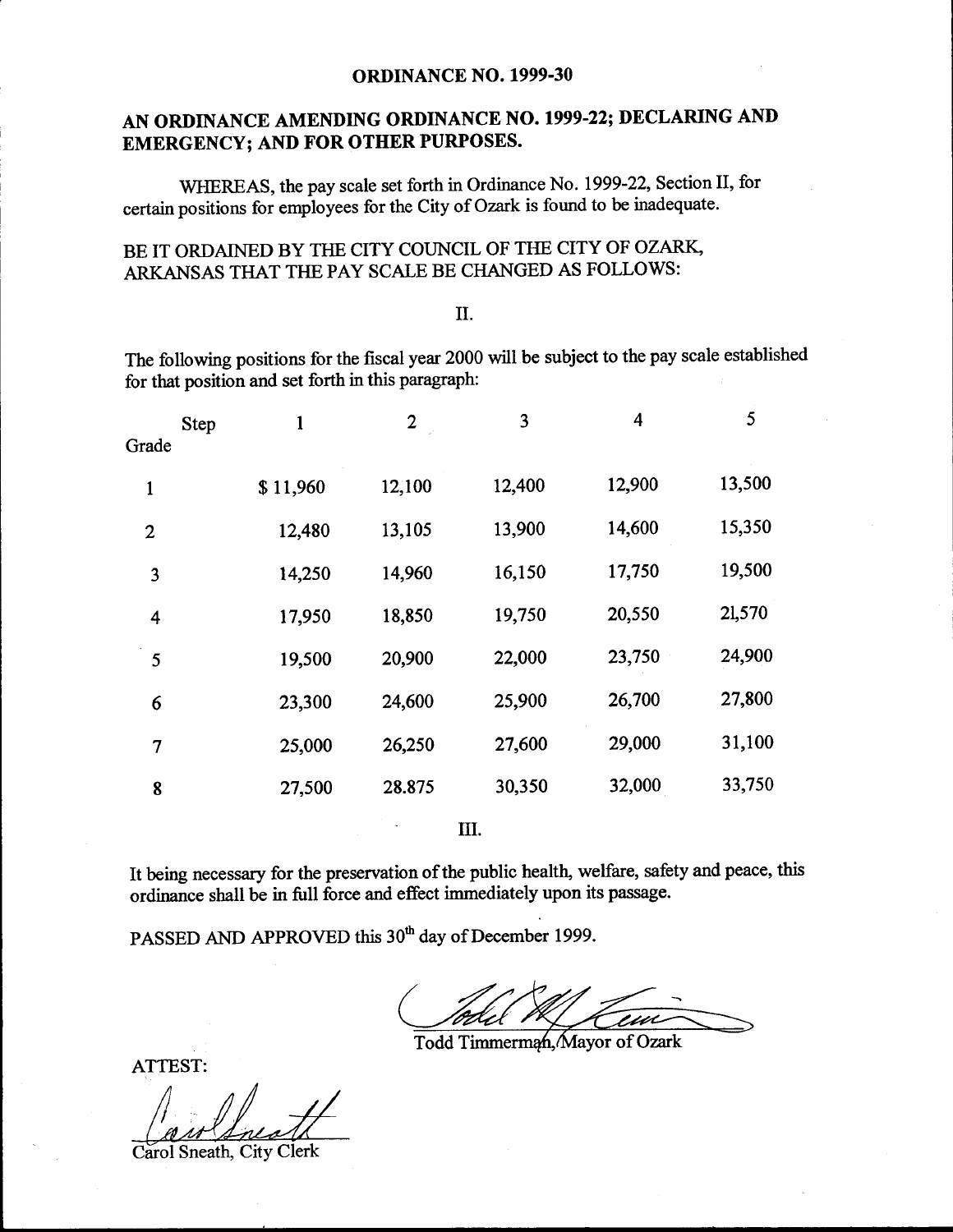#### ORDINANCE NO. 1999-30

## AN ORDINANCE AMENDING ORDINANCE NO. 1999-22; DECLARING AND EMERGENCY; AND FOR OTHER PURPOSES.

WHEREAS, the pay scale set forth in Ordinance No. 1999-22, Section II, for certain positions for employees for the City of Ozark is found to be inadequate.

## BE IT ORDAINED BY THE CITY COUNCIL OF THE CITY OF OZARK, ARKANSAS THAT THE PAY SCALE BE CHANGED AS FOLLOWS:

#### II.

The following positions for the fiscal year 2000 will be subject to the pay scale established for that position and set forth in this paragraph:

| <b>Step</b><br>Grade | 1        | $\overline{2}$ | 3      | 4      | 5      |
|----------------------|----------|----------------|--------|--------|--------|
| 1                    | \$11,960 | 12,100         | 12,400 | 12,900 | 13,500 |
| $\boldsymbol{2}$     | 12,480   | 13,105         | 13,900 | 14,600 | 15,350 |
| 3                    | 14,250   | 14,960         | 16,150 | 17,750 | 19,500 |
| 4                    | 17,950   | 18,850         | 19,750 | 20,550 | 21,570 |
| 5                    | 19,500   | 20,900         | 22,000 | 23,750 | 24,900 |
| 6                    | 23,300   | 24,600         | 25,900 | 26,700 | 27,800 |
| 7                    | 25,000   | 26,250         | 27,600 | 29,000 | 31,100 |
| 8                    | 27,500   | 28.875         | 30,350 | 32,000 | 33,750 |
|                      |          |                |        |        |        |

III.

It being necessary for the preservation of the public health, welfare, safety and peace, this ordinance shall be in full force and effect immediately upon its passage.

PASSED AND APPROVED this 30<sup>th</sup> day of December 1999.

<sup>-1</sup>

Todd Timmerman, Mayor of Ozark

ATTEST:

Carol Sneath, City Clerk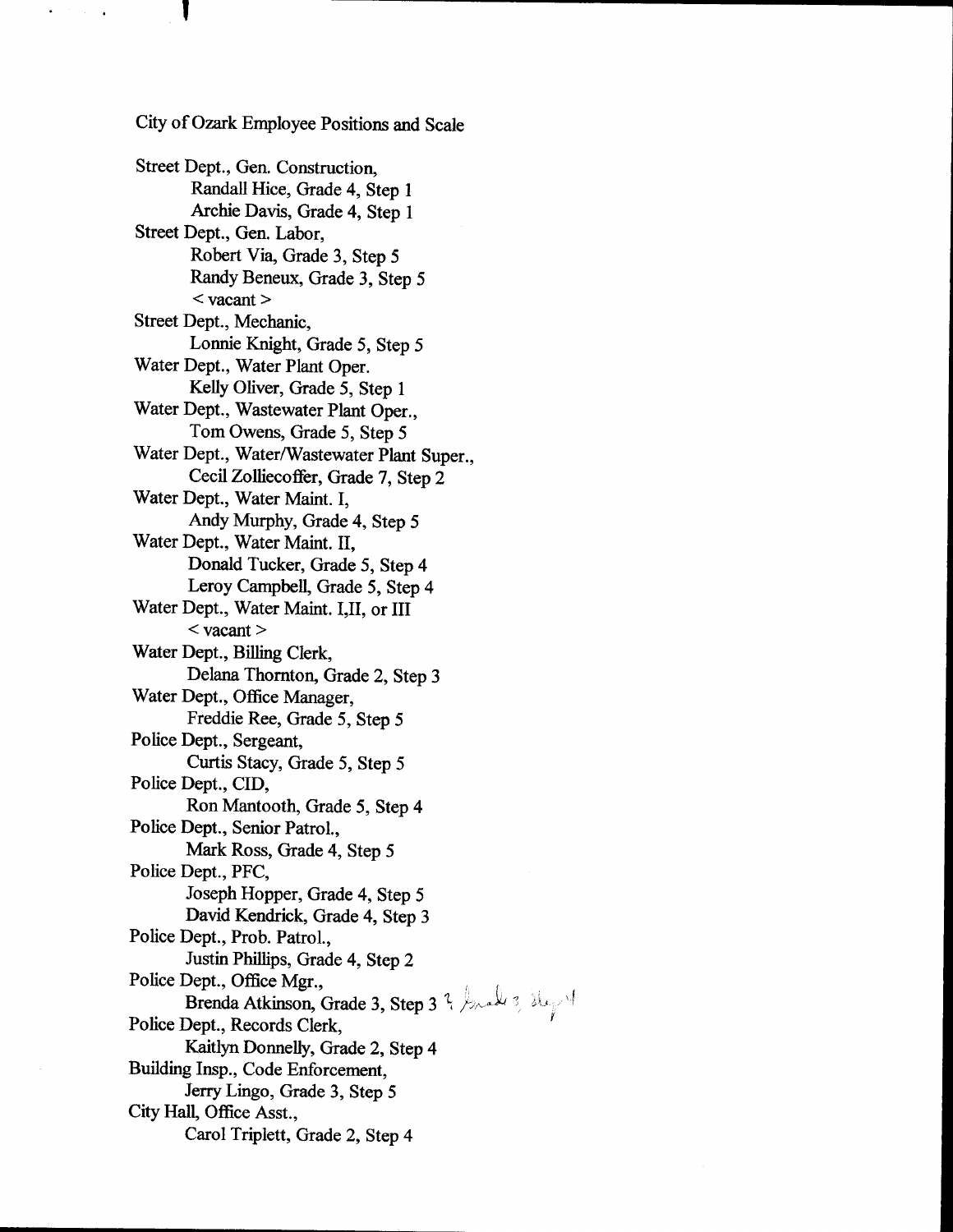City of Ozark Employee Positions and Scale Street Dept., Gen. Construction, Randall Hice, Grade 4, Step <sup>1</sup> Archie Davis, Grade 4, Step <sup>1</sup> Street Dept., Gen. Labor, Robert Via, Grade 3, Step 5 Randy Beneux, Grade 3, Step 5  $<$  vacant  $>$ Street Dept., Mechanic, Lonnie Knight, Grade 5, Step 5 Water Dept., Water Plant Oper. Kelly Oliver, Grade 5, Step <sup>1</sup> Water Dept., Wastewater Plant Oper., Tom Owens, Grade 5, Step 5 Water Dept., Water/Wastewater Plant Super., Cecil Zolliecoffer, Grade 7, Step 2 Water Dept., Water Maint. I, Andy Murphy, Grade 4, Step 5 Water Dept., Water Maint. II, Donald Tucker, Grade 5, Step 4 Leroy Campbell, Grade 5, Step 4 Water Dept., Water Maint. I,II, or III  $<$  vacant  $>$ Water Dept., Billing Clerk, Delana Thornton, Grade 2, Step 3 Water Dept., Office Manager, Freddie Ree, Grade 5, Step 5 Police Dept., Sergeant, Curtis Stacy, Grade 5, Step 5 Police Dept., CID, Ron Mantooth, Grade 5, Step 4 Police Dept., Senior Patrol., Mark Ross, Grade 4, Step 5 Police Dept., PFC, Joseph Hopper, Grade 4, Step 5 David Kendrick, Grade 4, Step 3 Police Dept., Prob. Patrol., Justin Phillips, Grade 4, Step 2 Police Dept., Office Mgr., Brenda Atkinson, Grade 3, Step 3 ? breaks 3,  $\frac{1}{2}$ Police Dept., Records Clerk, Kaitlyn Donnelly, Grade 2, Step 4 Building Insp., Code Enforcement, Jerry Lingo, Grade 3, Step 5 City Hall, Office Asst., Carol Triplett, Grade 2, Step <sup>4</sup>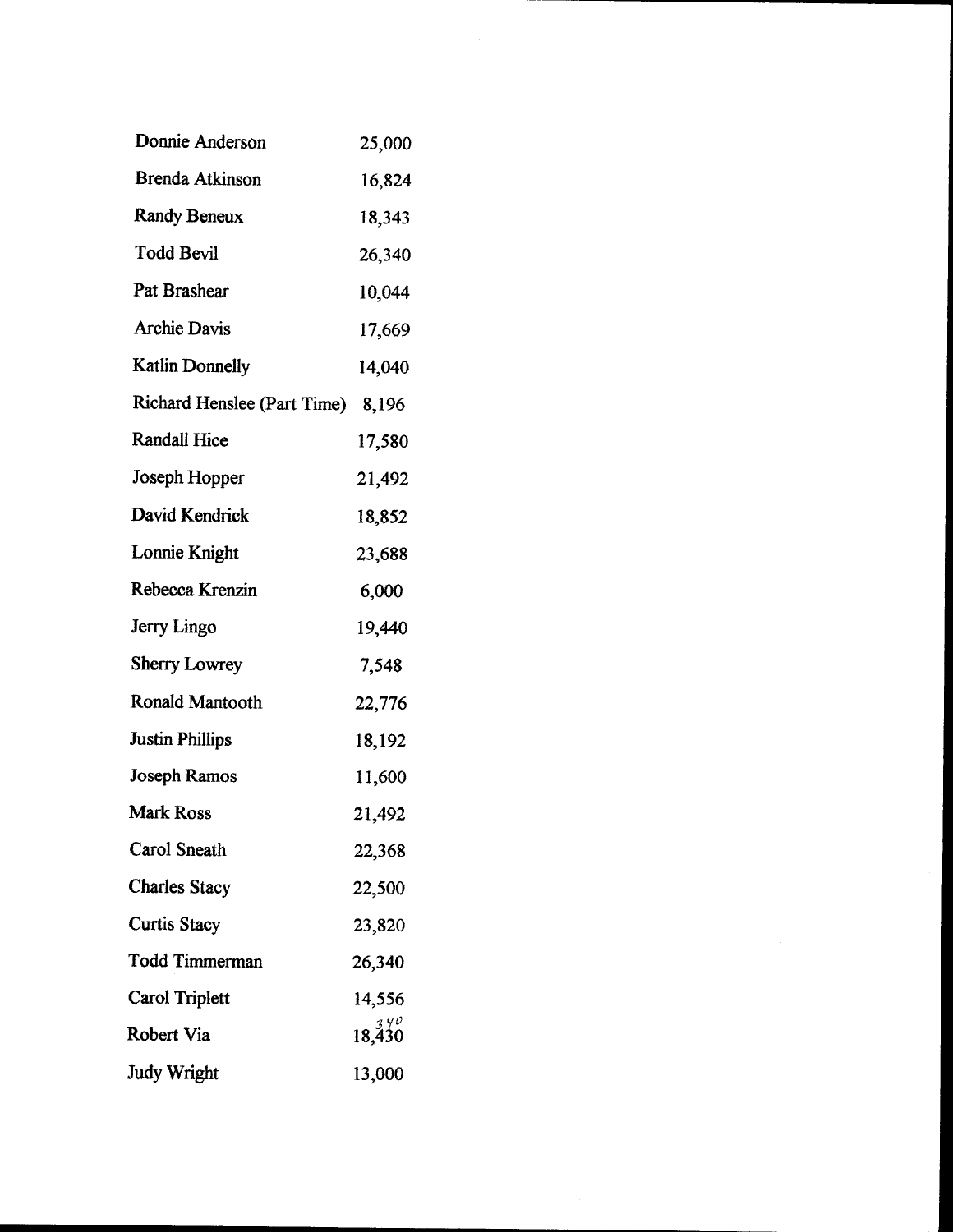| Donnie Anderson             | 25,000 |
|-----------------------------|--------|
| Brenda Atkinson             | 16,824 |
| <b>Randy Beneux</b>         | 18,343 |
| Todd Bevil                  | 26,340 |
| Pat Brashear                | 10,044 |
| <b>Archie Davis</b>         | 17,669 |
| <b>Katlin Donnelly</b>      | 14,040 |
| Richard Henslee (Part Time) | 8,196  |
| <b>Randall Hice</b>         | 17,580 |
| Joseph Hopper               | 21,492 |
| David Kendrick              | 18,852 |
| Lonnie Knight               | 23,688 |
| Rebecca Krenzin             | 6,000  |
| Jerry Lingo                 | 19,440 |
| <b>Sherry Lowrey</b>        | 7,548  |
| Ronald Mantooth             | 22,776 |
| <b>Justin Phillips</b>      | 18,192 |
| Joseph Ramos                | 11,600 |
| <b>Mark Ross</b>            | 21,492 |
| Carol Sneath                | 22,368 |
| <b>Charles Stacy</b>        | 22,500 |
| <b>Curtis Stacy</b>         | 23,820 |
| <b>Todd Timmerman</b>       | 26,340 |
| Carol Triplett              | 14,556 |
| Robert Via                  | 18.430 |
| <b>Judy Wright</b>          | 13,000 |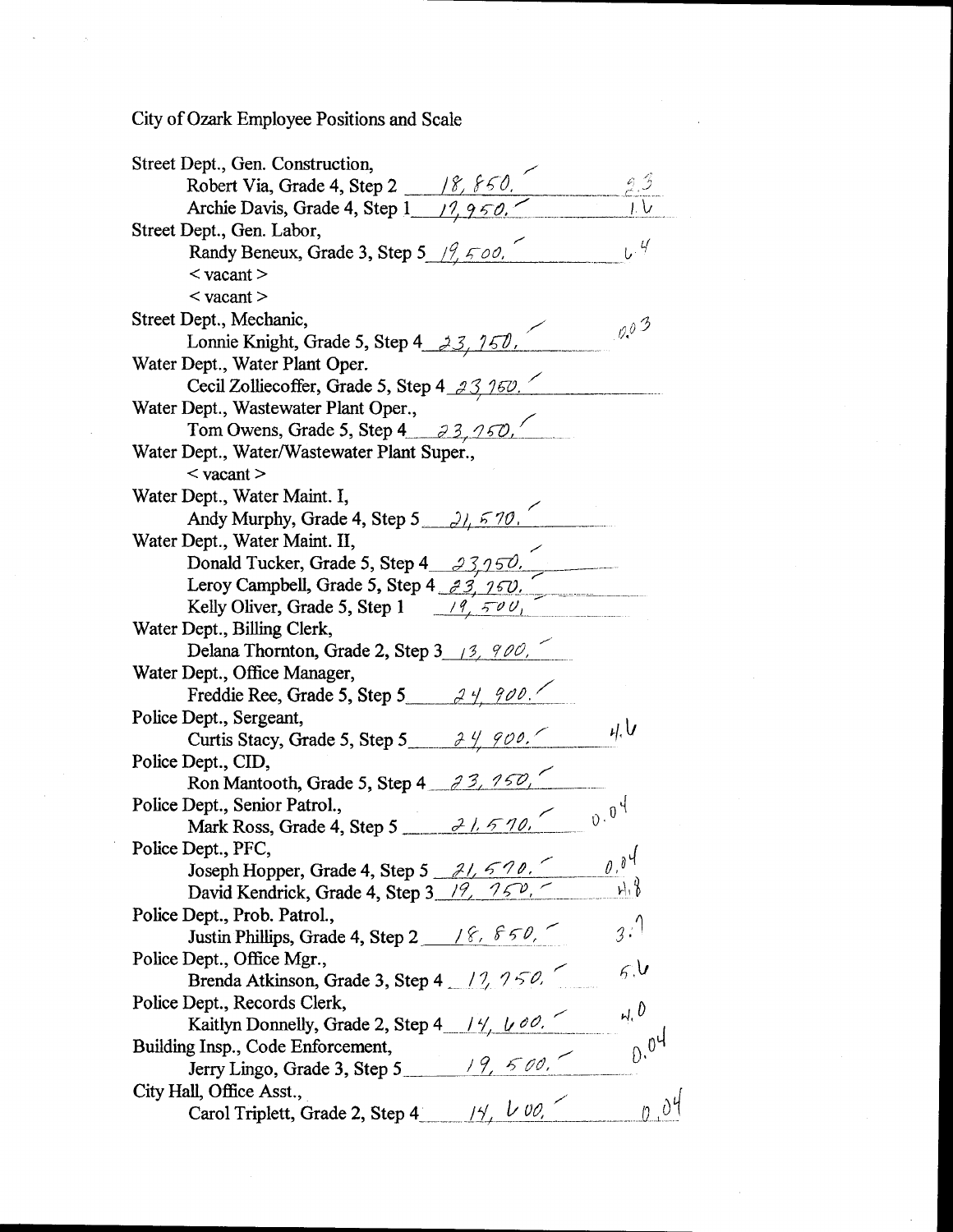City of Ozark Employee Positions and Scale

| Street Dept., Gen. Construction,                                                                                                                                          |       |  |
|---------------------------------------------------------------------------------------------------------------------------------------------------------------------------|-------|--|
|                                                                                                                                                                           |       |  |
| Robert Via, Grade 4, Step 2 18, 860,                                                                                                                                      |       |  |
| Street Dept., Gen. Labor,                                                                                                                                                 |       |  |
| Randy Beneux, Grade 3, Step 5 $\frac{19}{500}$ ,                                                                                                                          |       |  |
| $<$ vacant $>$                                                                                                                                                            |       |  |
| $\langle$ vacant $\rangle$                                                                                                                                                |       |  |
| Street Dept., Mechanic,                                                                                                                                                   | 0.03  |  |
| Lonnie Knight, Grade 5, Step 4 $\frac{33}{150}$ ,                                                                                                                         |       |  |
| Water Dept., Water Plant Oper.                                                                                                                                            |       |  |
| Cecil Zolliecoffer, Grade 5, Step 4 $\frac{33}{160}$ .                                                                                                                    |       |  |
| Water Dept., Wastewater Plant Oper.,                                                                                                                                      |       |  |
| Tom Owens, Grade 5, Step 4 $3, 750$ ,                                                                                                                                     |       |  |
| Water Dept., Water/Wastewater Plant Super.,                                                                                                                               |       |  |
| $<$ vacant $>$                                                                                                                                                            |       |  |
| Water Dept., Water Maint. I,                                                                                                                                              |       |  |
| Andy Murphy, Grade 4, Step 5 $\frac{\partial}{\partial \rho}$ 5 70.                                                                                                       |       |  |
| Water Dept., Water Maint. II,                                                                                                                                             |       |  |
| Donald Tucker, Grade 5, Step 4 $23,950$ .                                                                                                                                 |       |  |
| Leroy Campbell, Grade 5, Step 4 $\frac{3}{2}$ , $\frac{7}{5}$ $\frac{7}{1}$<br>Kelly Oliver, Grade 5, Step 1 $\frac{19}{5}$ $\frac{79}{5}$                                |       |  |
|                                                                                                                                                                           |       |  |
| Water Dept., Billing Clerk,                                                                                                                                               |       |  |
| Delana Thornton, Grade 2, Step 3 $\frac{13}{12}$ , 900,                                                                                                                   |       |  |
| Water Dept., Office Manager,                                                                                                                                              |       |  |
| Freddie Ree, Grade 5, Step 5 24, 900.                                                                                                                                     |       |  |
| Police Dept., Sergeant,                                                                                                                                                   |       |  |
| Curtis Stacy, Grade 5, Step 5 $\frac{\partial \psi}{\partial \rho}$ 900.                                                                                                  |       |  |
| Police Dept., CID,                                                                                                                                                        |       |  |
| Ron Mantooth, Grade 5, Step 4 $\frac{33}{150}$ ,                                                                                                                          |       |  |
| Police Dept., Senior Patrol.,<br>Mark Ross, Grade 4, Step 5 $\frac{\partial L}{\partial n}$ $\frac{\partial L}{\partial n}$ $\frac{1}{\partial n}$ $\frac{1}{\partial n}$ |       |  |
|                                                                                                                                                                           |       |  |
| Police Dept., PFC,                                                                                                                                                        | 0.04  |  |
| Joseph Hopper, Grade 4, Step 5 $\frac{\partial L}{\partial \rho}$ 6.000                                                                                                   | $h_1$ |  |
|                                                                                                                                                                           |       |  |
| Police Dept., Prob. Patrol.,                                                                                                                                              | 3.1   |  |
| Justin Phillips, Grade 4, Step 2 18, $850$ ,                                                                                                                              |       |  |
| Police Dept., Office Mgr.,                                                                                                                                                | 6.6   |  |
| Brenda Atkinson, Grade 3, Step 4 17, 750,                                                                                                                                 |       |  |
| Police Dept., Records Clerk,                                                                                                                                              | N, 0  |  |
| Kaitlyn Donnelly, Grade 2, Step 4 $\frac{14}{14}$ , $\frac{14}{00}$ ,                                                                                                     |       |  |
| Building Insp., Code Enforcement,                                                                                                                                         | 0.04  |  |
| Jerry Lingo, Grade 3, Step 5 19, 500,                                                                                                                                     |       |  |
| Carol Triplett, Grade 2, Step 4 $\frac{1}{4}$ /4, $\frac{1}{4}$ 00,<br>City Hall, Office Asst.,                                                                           | 0.04  |  |
|                                                                                                                                                                           |       |  |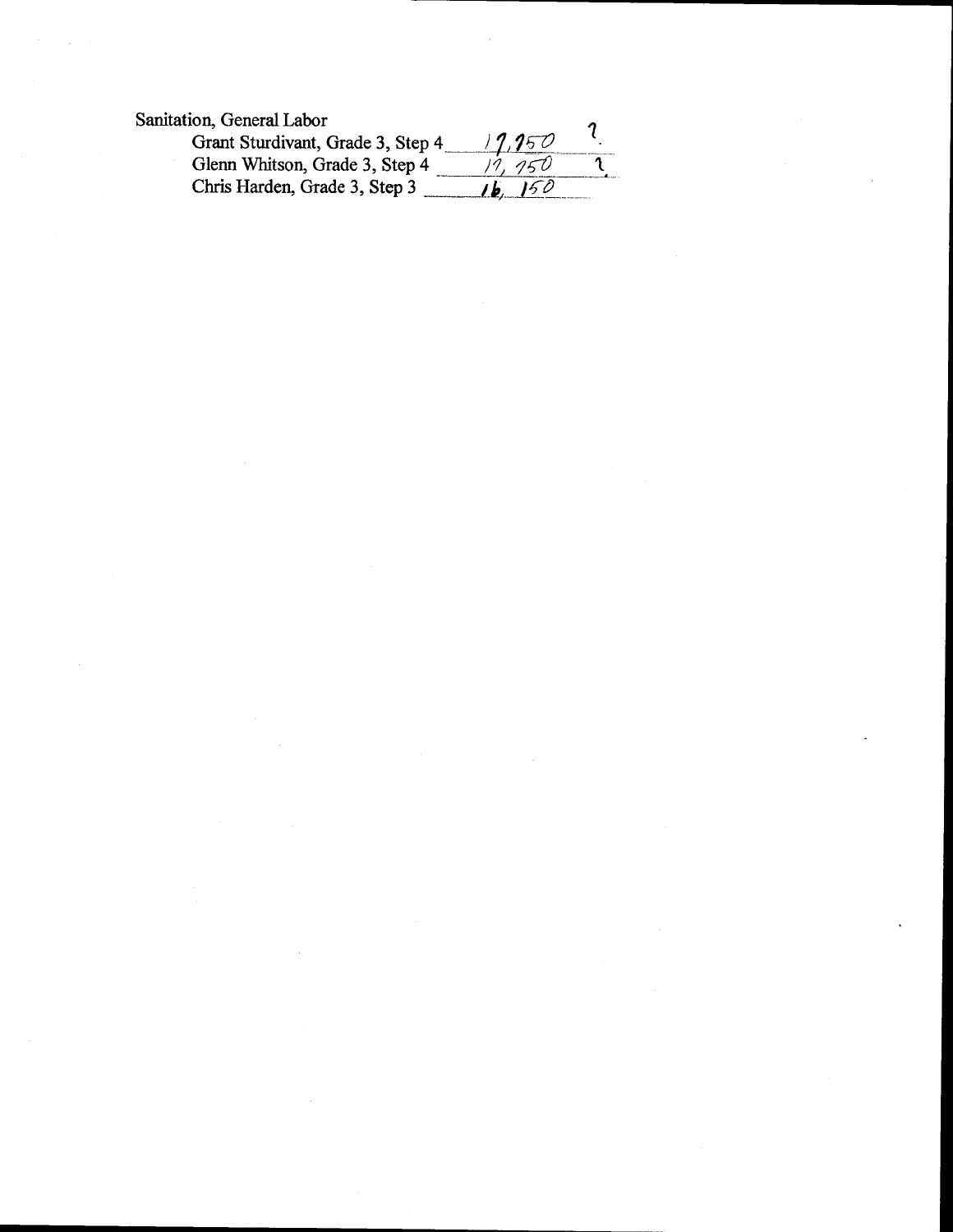Sanitation, General Labor

| ion, General Lador                |                     |  |
|-----------------------------------|---------------------|--|
| Grant Sturdivant, Grade 3, Step 4 | 17.250              |  |
| Glenn Whitson, Grade 3, Step 4    | 19. ISU             |  |
| Chris Harden, Grade 3, Step 3     | 150<br>$\mathbf{b}$ |  |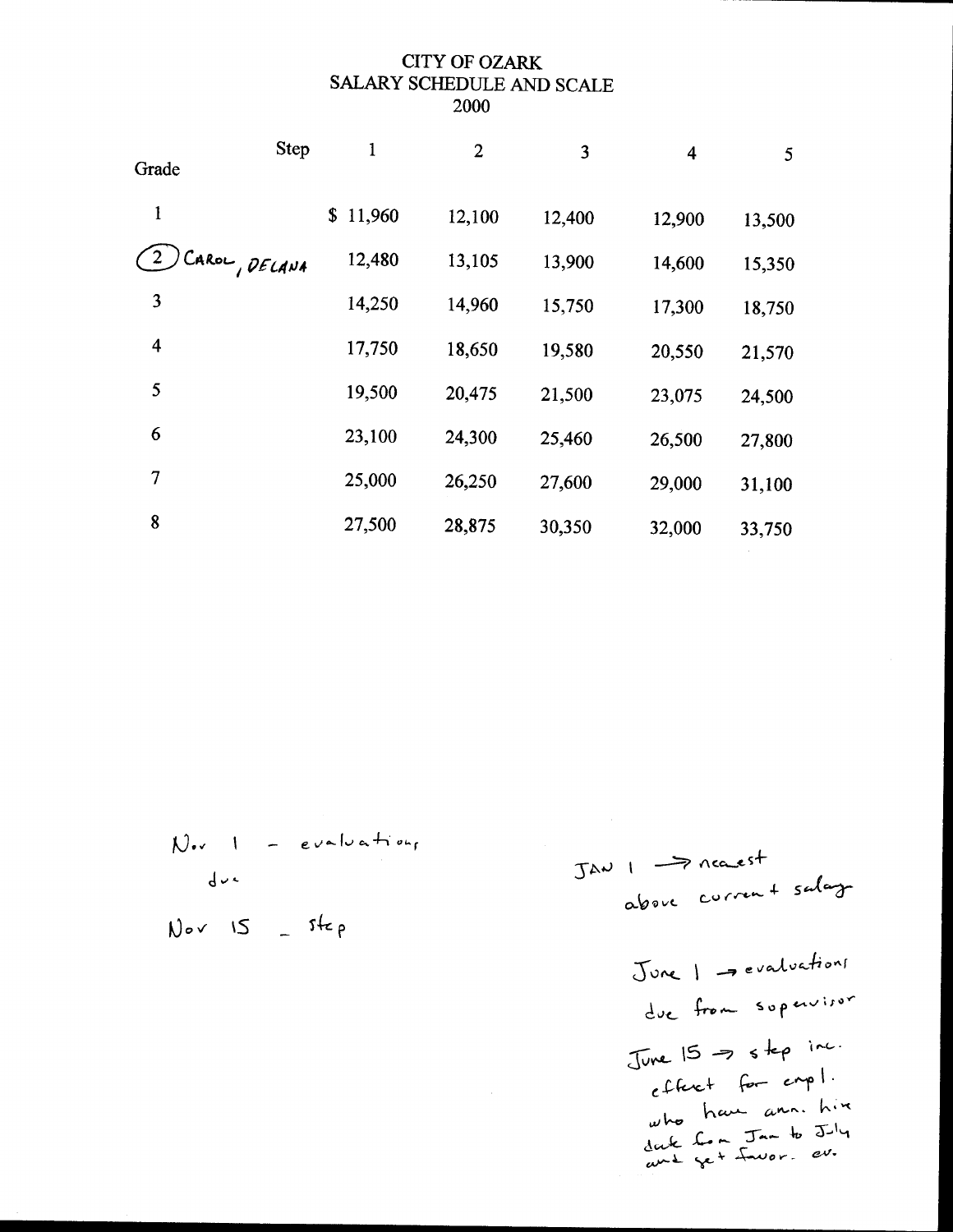### CITY OF OZARK SALARY SCHEDULE AND SCALE 2000

|                  | Step          | 1            | $\overline{2}$ | 3      | $\overline{\mathbf{4}}$ | 5 <sub>5</sub> |
|------------------|---------------|--------------|----------------|--------|-------------------------|----------------|
| Grade            |               |              |                |        |                         |                |
| 1                |               | 11,960<br>\$ | 12,100         | 12,400 | 12,900                  | 13,500         |
|                  | CAROL, DELANA | 12,480       | 13,105         | 13,900 | 14,600                  | 15,350         |
| 3                |               | 14,250       | 14,960         | 15,750 | 17,300                  | 18,750         |
| $\boldsymbol{4}$ |               | 17,750       | 18,650         | 19,580 | 20,550                  | 21,570         |
| 5                |               | 19,500       | 20,475         | 21,500 | 23,075                  | 24,500         |
| 6                |               | 23,100       | 24,300         | 25,460 | 26,500                  | 27,800         |
| 7                |               | 25,000       | 26,250         | 27,600 | 29,000                  | 31,100         |
| 8                |               | 27,500       | 28,875         | 30,350 | 32,000                  | 33,750         |

 $N_{\text{ev}}$  1 - evaluations  $d\nu$  $Nov$   $IS = 54ep$ 

JAV I   
\n
$$
\rightarrow
$$
 nearest  
\n $\sim$  lower  
\n $\sim$  lower  
\n $\sim$  lower  
\n $\sim$  lower  
\n $\sim$  lower  
\n $\sim$  lower  
\n $\sim$  lower  
\n $\sim$  lower  
\n $\sim$  lower  
\n $\sim$  lower  
\n $\sim$  lower  
\n $\sim$  lower  
\n $\sim$  lower  
\n $\sim$  lower  
\n $\sim$  lower  
\n $\sim$  lower  
\n $\sim$  lower  
\n $\sim$  lower  
\n $\sim$  lower  
\n $\sim$  lower  
\n $\sim$  lower  
\n $\sim$  lower  
\n $\sim$  lower  
\n $\sim$  lower  
\n $\sim$  lower  
\n $\sim$  lower  
\n $\sim$  lower  
\n $\sim$  lower  
\n $\sim$  lower  
\n $\sim$  lower  
\n $\sim$  lower  
\n $\sim$  lower  
\n $\sim$  lower  
\n $\sim$  lower  
\n $\sim$  lower  
\n $\sim$  lower  
\n $\sim$  lower  
\n $\sim$  lower  
\n $\sim$  lower  
\n $\sim$  lower  
\n $\sim$  lower  
\n $\sim$  lower  
\n $\sim$  lower  
\n $\sim$  lower  
\n $\sim$  lower  
\n $\sim$  lower  
\n $\sim$  lower  
\n $\sim$  lower  
\n $\sim$  lower  
\n $\sim$  lower  
\n $\sim$  lower  
\n $\sim$  lower  
\n $\sim$  lower  
\n $$ 

061w-: k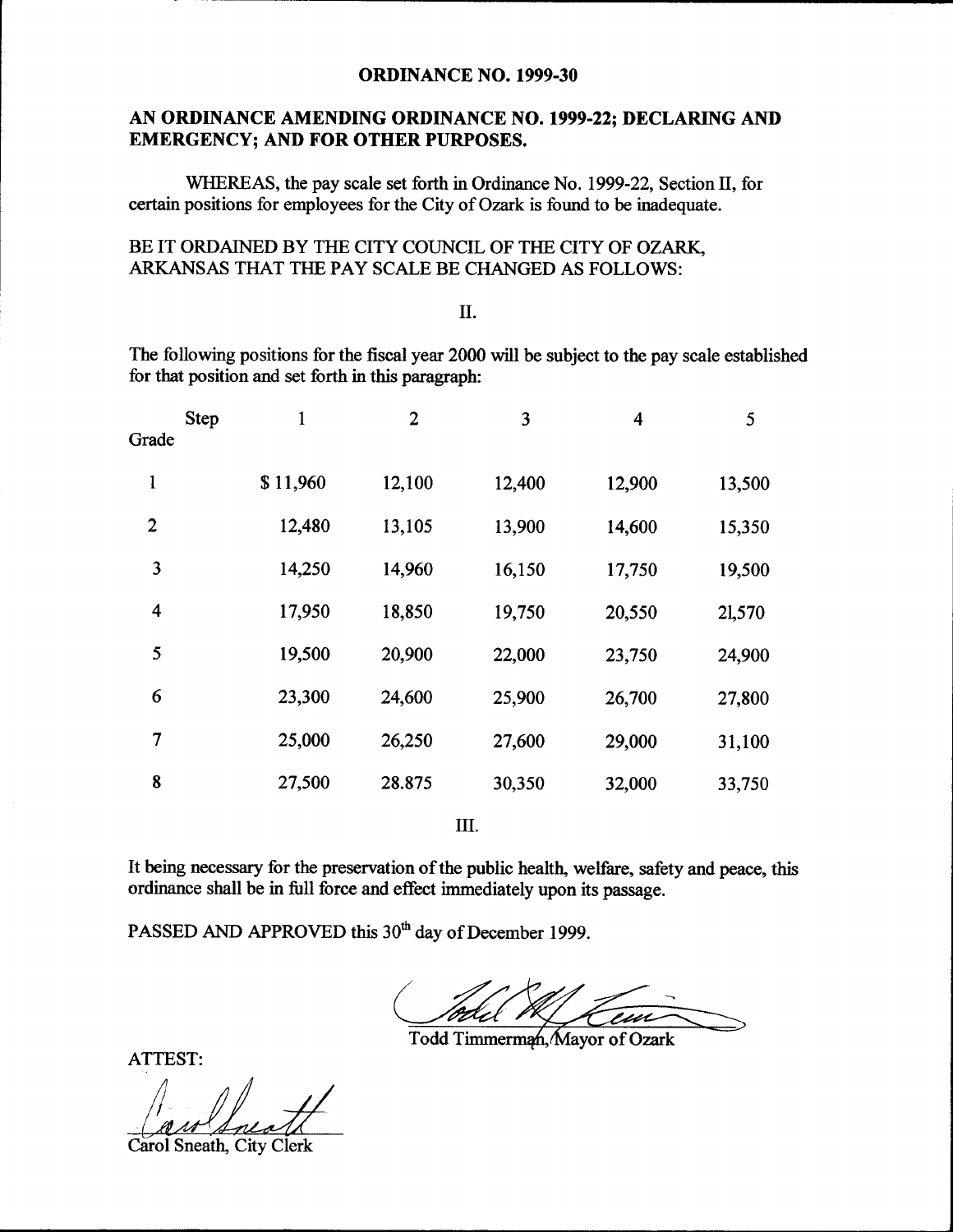#### **ORDINANCE NO. 1999-30**

## AN ORDINANCE AMENDING ORDINANCE NO. 1999-22; DECLARING AND EMERGENCY; AND FOR OTHER PURPOSES.

WHEREAS, the pay scale set forth in Ordinance No. 1999-22, Section II, for certain positions for employees for the City of Ozark is found to be inadequate.

#### BE IT ORDAINED BY THE CITY COUNCIL OF THE CITY OF OZARK, ARKANSAS THAT THE PAY SCALE BE CHANGED AS FOLLOWS:

### II.

The following positions for the fiscal year 2000 will be subject to the pay scale established for that position and set forth in this paragraph:

| <b>Step</b><br>Grade | 1        | $\overline{2}$ | 3      | $\overline{\mathbf{4}}$ | 5      |
|----------------------|----------|----------------|--------|-------------------------|--------|
| 1                    | \$11,960 | 12,100         | 12,400 | 12,900                  | 13,500 |
| 2                    | 12,480   | 13,105         | 13,900 | 14,600                  | 15,350 |
| 3                    | 14,250   | 14,960         | 16,150 | 17,750                  | 19,500 |
| 4                    | 17,950   | 18,850         | 19,750 | 20,550                  | 21,570 |
| 5                    | 19,500   | 20,900         | 22,000 | 23,750                  | 24,900 |
| 6                    | 23,300   | 24,600         | 25,900 | 26,700                  | 27,800 |
| 7                    | 25,000   | 26,250         | 27,600 | 29,000                  | 31,100 |
| 8                    | 27,500   | 28.875         | 30,350 | 32,000                  | 33,750 |
|                      |          |                |        |                         |        |

III.

It being necessary for the preservation of the public health, welfare, safety and peace, this ordinance shall be in full force and effect immediately upon its passage.

PASSED AND APPROVED this 30<sup>th</sup> day of December 1999.

 $\overline{a}$ 

Todd Timmerman. Mayor of Ozark

ATTEST:

f

Carol Sneath, City Clerk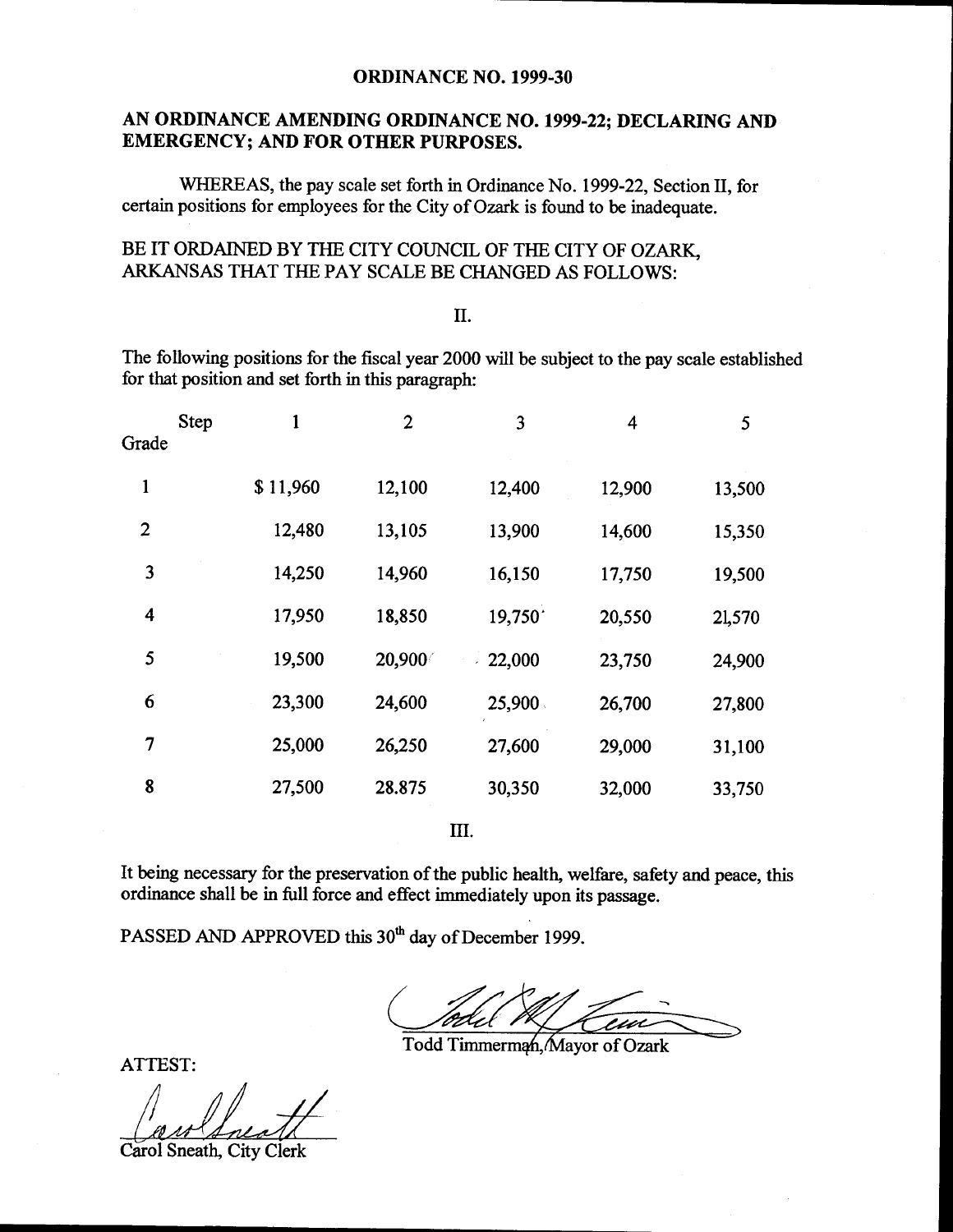#### **ORDINANCE NO. 1999-30**

## AN ORDINANCE AMENDING ORDINANCE NO. 1999-22; DECLARING AND EMERGENCY; AND FOR OTHER PURPOSES.

WHEREAS, the pay scale set forth in Ordinance No. 1999-22, Section II, for certain positions for employees for the City of Ozark is found to be inadequate.

## BE IT ORDAINED BY THE CITY COUNCIL OF THE CITY OF OZARK, ARKANSAS THAT THE PAY SCALE BE CHANGED AS FOLLOWS:

#### II.

The following positions for the fiscal year 2000 will be subject to the pay scale established for that position and set forth in this paragraph:

| Grade        | Step |          | $\overline{2}$ | 3         | 4      | 5      |
|--------------|------|----------|----------------|-----------|--------|--------|
| 1            |      | \$11,960 | 12,100         | 12,400    | 12,900 | 13,500 |
| $\mathbf{2}$ |      | 12,480   | 13,105         | 13,900    | 14,600 | 15,350 |
| 3            |      | 14,250   | 14,960         | 16,150    | 17,750 | 19,500 |
| 4            |      | 17,950   | 18,850         | 19,750    | 20,550 | 21,570 |
| 5            |      | 19,500   | 20,900         | $-22,000$ | 23,750 | 24,900 |
| 6            |      | 23,300   | 24,600         | 25,900    | 26,700 | 27,800 |
| 7            |      | 25,000   | 26,250         | 27,600    | 29,000 | 31,100 |
| 8            |      | 27,500   | 28.875         | 30,350    | 32,000 | 33,750 |
|              |      |          |                |           |        |        |

III.

It being necessary for the preservation of the public health, welfare, safety and peace, this ordinance shall be in full force and effect immediately upon its passage.

PASSED AND APPROVED this 30<sup>th</sup> day of December 1999.

<sup>-1</sup>

Todd Timmerman, Mayor of Ozark

ATTEST:

J

Carol Sneath, City Clerk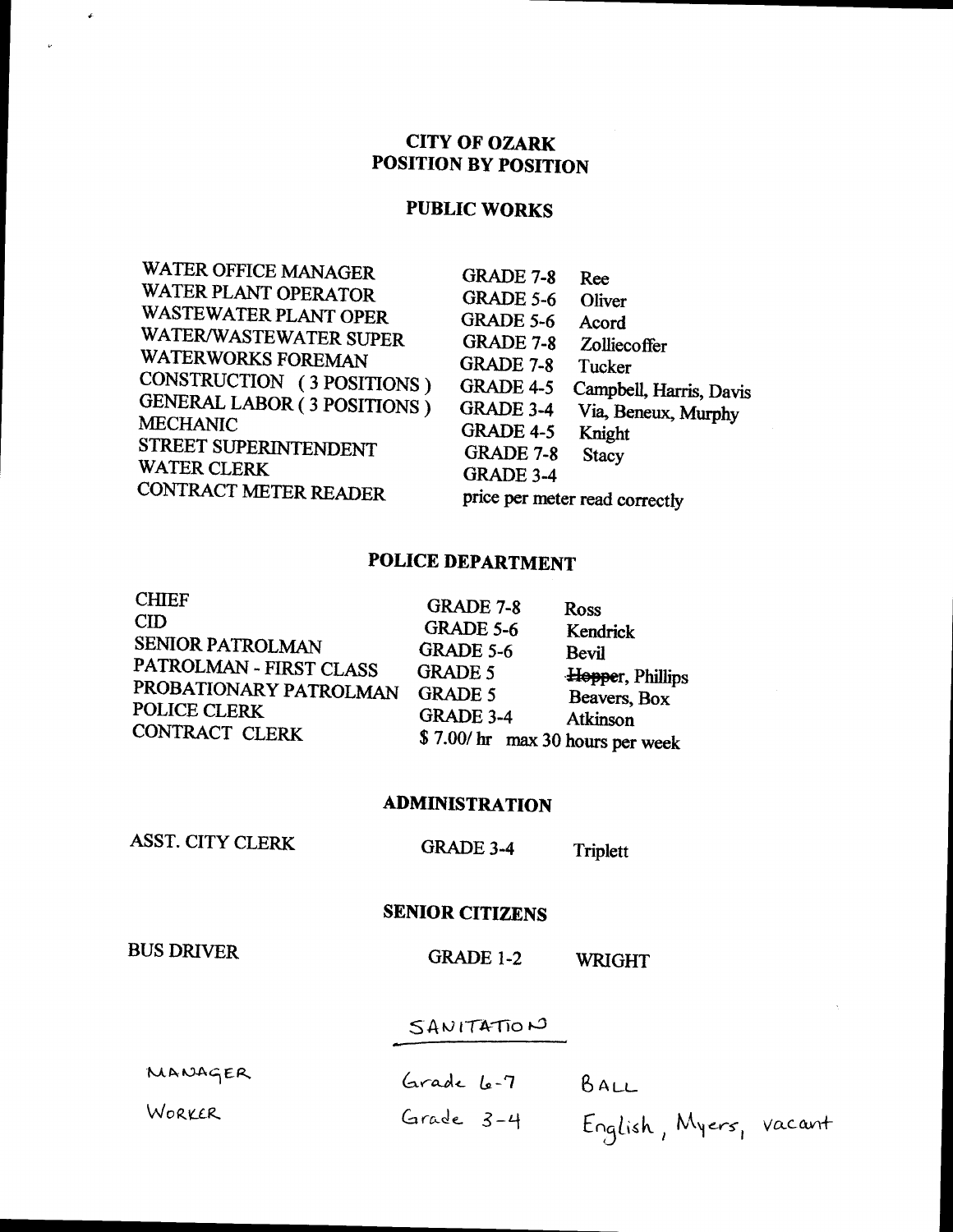## **CITY OF OZARK POSITION BY POSITION**

## **PUBLIC WORKS**

# **POLICE DEPARTMENT**

| <b>Ross</b>                                                                                                                     |
|---------------------------------------------------------------------------------------------------------------------------------|
| Kendrick                                                                                                                        |
| Bevil                                                                                                                           |
| Hopper, Phillips                                                                                                                |
| Beavers, Box                                                                                                                    |
| Atkinson                                                                                                                        |
|                                                                                                                                 |
|                                                                                                                                 |
| GRADE 7-8<br>GRADE 5-6<br><b>GRADE 5-6</b><br><b>GRADE 5</b><br><b>GRADE 5</b><br>GRADE 3-4<br>\$7.00/ hr max 30 hours per week |

#### **ADMINISTRATION**

**ASST. CITY CLERK** 

**GRADE 3-4** Triplett

**SENIOR CITIZENS** 

**BUS DRIVER** 

 $\hat{\boldsymbol{\epsilon}}$ 

**GRADE 1-2 WRIGHT** 

## SANITATION

| MANAGER | Grade 6-7 | BALL                   |
|---------|-----------|------------------------|
| WORKER  | Grade 3-4 | English, Myers, vacant |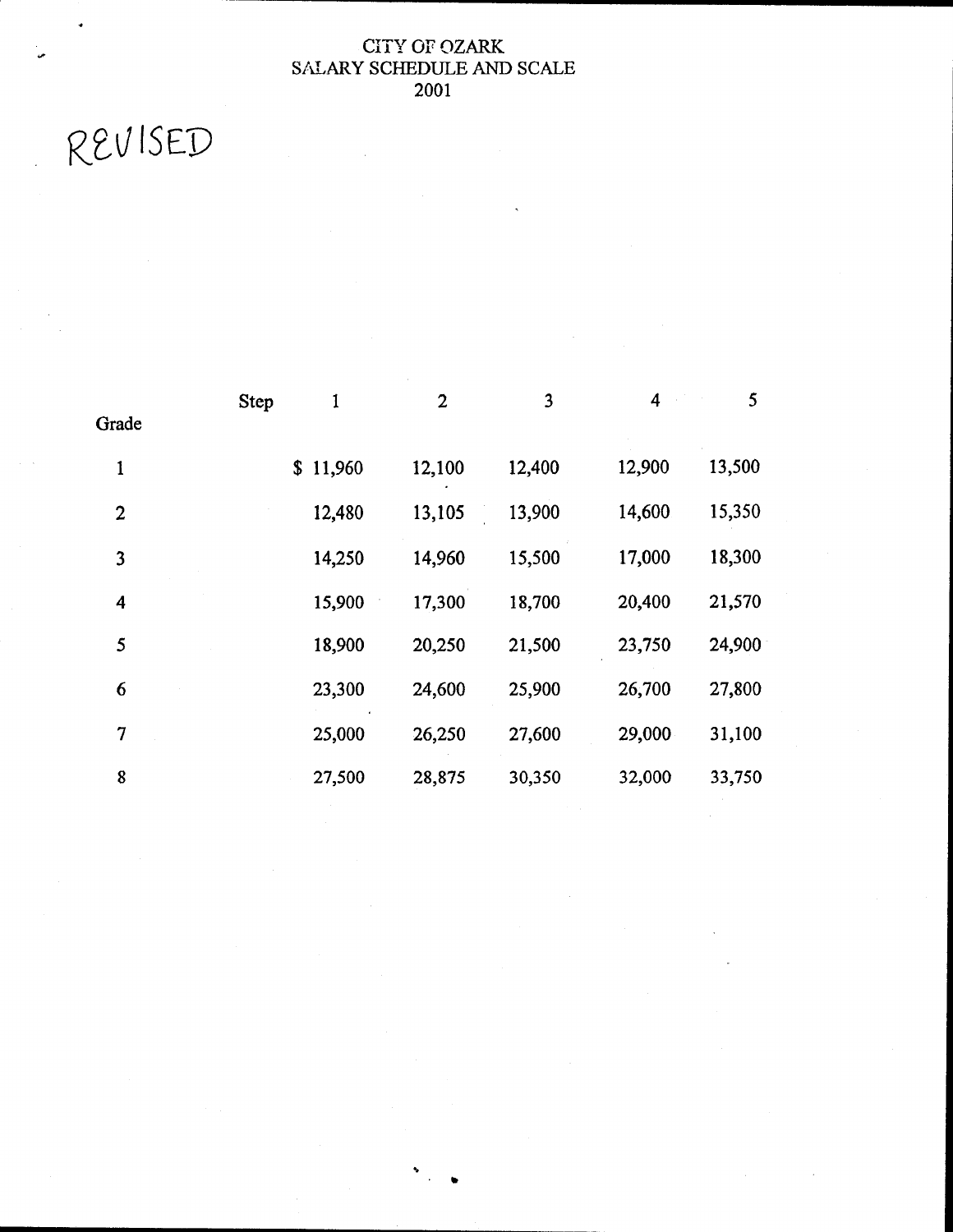## CITY OF OZARK SALARY SCHEDULE AND SCALE 2001

REVISED

W

|                  | <b>Step</b> | 1        | $\mathbf{2}$ | 3      | 4      | 5      |
|------------------|-------------|----------|--------------|--------|--------|--------|
| Grade            |             |          |              |        |        |        |
| $\mathbf{1}$     |             | \$11,960 | 12,100       | 12,400 | 12,900 | 13,500 |
| $\boldsymbol{2}$ |             | 12,480   | 13,105       | 13,900 | 14,600 | 15,350 |
| 3                |             | 14,250   | 14,960       | 15,500 | 17,000 | 18,300 |
| 4                |             | 15,900   | 17,300       | 18,700 | 20,400 | 21,570 |
| 5                |             | 18,900   | 20,250       | 21,500 | 23,750 | 24,900 |
| 6                |             | 23,300   | 24,600       | 25,900 | 26,700 | 27,800 |
| 7                |             | 25,000   | 26,250       | 27,600 | 29,000 | 31,100 |
| 8                |             | 27,500   | 28,875       | 30,350 | 32,000 | 33,750 |